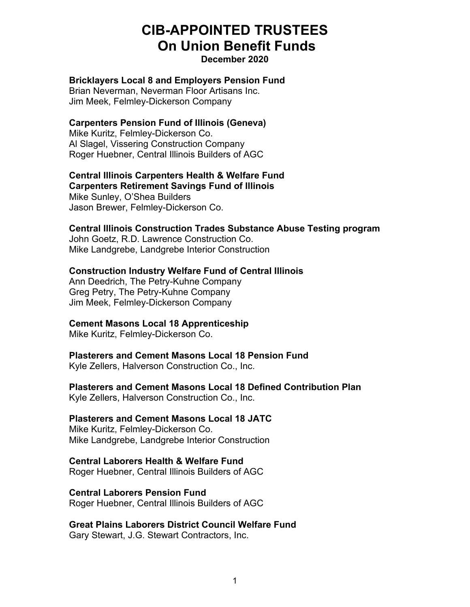# **CIB-APPOINTED TRUSTEES On Union Benefit Funds**

## **December 2020**

## **Bricklayers Local 8 and Employers Pension Fund**

Brian Neverman, Neverman Floor Artisans Inc. Jim Meek, Felmley-Dickerson Company

## **Carpenters Pension Fund of Illinois (Geneva)**

Mike Kuritz, Felmley-Dickerson Co. Al Slagel, Vissering Construction Company Roger Huebner, Central Illinois Builders of AGC

#### **Central Illinois Carpenters Health & Welfare Fund Carpenters Retirement Savings Fund of Illinois**

Mike Sunley, O'Shea Builders Jason Brewer, Felmley-Dickerson Co.

## **Central Illinois Construction Trades Substance Abuse Testing program**

John Goetz, R.D. Lawrence Construction Co. Mike Landgrebe, Landgrebe Interior Construction

## **Construction Industry Welfare Fund of Central Illinois**

Ann Deedrich, The Petry-Kuhne Company Greg Petry, The Petry-Kuhne Company Jim Meek, Felmley-Dickerson Company

# **Cement Masons Local 18 Apprenticeship**

Mike Kuritz, Felmley-Dickerson Co.

## **Plasterers and Cement Masons Local 18 Pension Fund**

Kyle Zellers, Halverson Construction Co., Inc.

## **Plasterers and Cement Masons Local 18 Defined Contribution Plan**

Kyle Zellers, Halverson Construction Co., Inc.

## **Plasterers and Cement Masons Local 18 JATC**

Mike Kuritz, Felmley-Dickerson Co. Mike Landgrebe, Landgrebe Interior Construction

## **Central Laborers Health & Welfare Fund**

Roger Huebner, Central Illinois Builders of AGC

## **Central Laborers Pension Fund**

Roger Huebner, Central Illinois Builders of AGC

## **Great Plains Laborers District Council Welfare Fund**

Gary Stewart, J.G. Stewart Contractors, Inc.